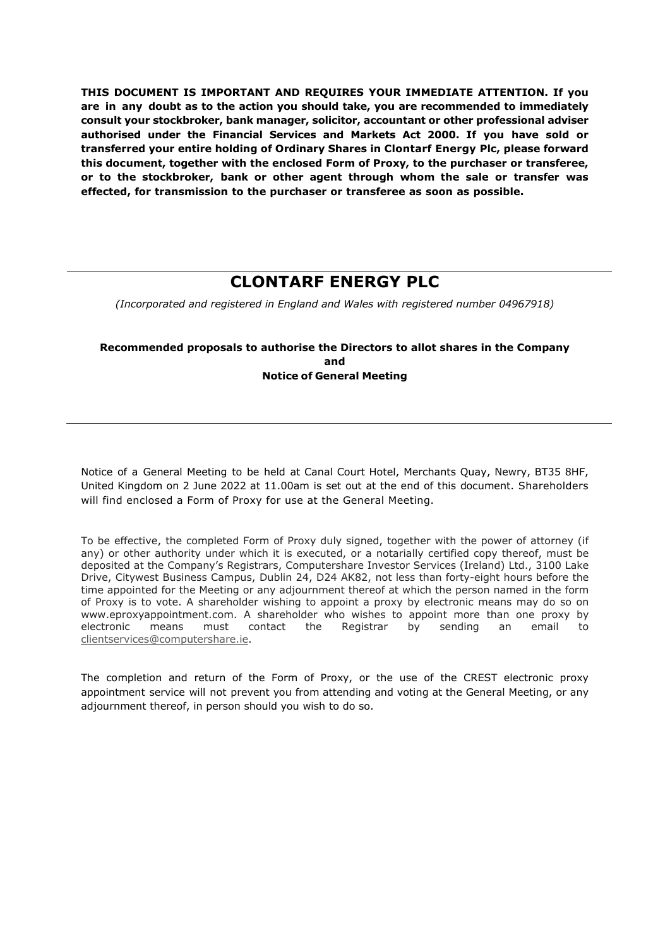**THIS DOCUMENT IS IMPORTANT AND REQUIRES YOUR IMMEDIATE ATTENTION. If you are in any doubt as to the action you should take, you are recommended to immediately consult your stockbroker, bank manager, solicitor, accountant or other professional adviser authorised under the Financial Services and Markets Act 2000. If you have sold or transferred your entire holding of Ordinary Shares in Clontarf Energy Plc, please forward this document, together with the enclosed Form of Proxy, to the purchaser or transferee, or to the stockbroker, bank or other agent through whom the sale or transfer was effected, for transmission to the purchaser or transferee as soon as possible.** 

# **CLONTARF ENERGY PLC**

*(Incorporated and registered in England and Wales with registered number 04967918)*

### **Recommended proposals to authorise the Directors to allot shares in the Company and Notice of General Meeting**

Notice of a General Meeting to be held at Canal Court Hotel, Merchants Quay, Newry, BT35 8HF, United Kingdom on 2 June 2022 at 11.00am is set out at the end of this document. Shareholders will find enclosed a Form of Proxy for use at the General Meeting.

To be effective, the completed Form of Proxy duly signed, together with the power of attorney (if any) or other authority under which it is executed, or a notarially certified copy thereof, must be deposited at the Company's Registrars, Computershare Investor Services (Ireland) Ltd., 3100 Lake Drive, Citywest Business Campus, Dublin 24, D24 AK82, not less than forty-eight hours before the time appointed for the Meeting or any adjournment thereof at which the person named in the form of Proxy is to vote. A shareholder wishing to appoint a proxy by electronic means may do so on www.eproxyappointment.com. A shareholder who wishes to appoint more than one proxy by electronic means must contact the Registrar by sending an email to clientservices@computershare.ie.

The completion and return of the Form of Proxy, or the use of the CREST electronic proxy appointment service will not prevent you from attending and voting at the General Meeting, or any adjournment thereof, in person should you wish to do so.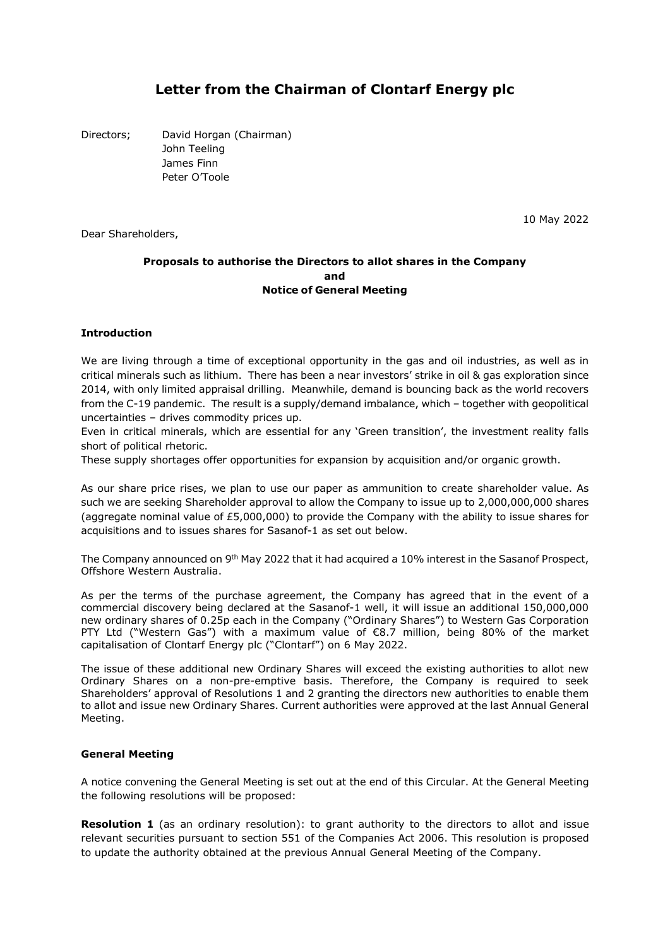## **Letter from the Chairman of Clontarf Energy plc**

Directors; David Horgan (Chairman) John Teeling James Finn Peter O'Toole

Dear Shareholders,

10 May 2022

#### **Proposals to authorise the Directors to allot shares in the Company and Notice of General Meeting**

#### **Introduction**

We are living through a time of exceptional opportunity in the gas and oil industries, as well as in critical minerals such as lithium. There has been a near investors' strike in oil & gas exploration since 2014, with only limited appraisal drilling. Meanwhile, demand is bouncing back as the world recovers from the C-19 pandemic. The result is a supply/demand imbalance, which – together with geopolitical uncertainties – drives commodity prices up.

Even in critical minerals, which are essential for any 'Green transition', the investment reality falls short of political rhetoric.

These supply shortages offer opportunities for expansion by acquisition and/or organic growth.

As our share price rises, we plan to use our paper as ammunition to create shareholder value. As such we are seeking Shareholder approval to allow the Company to issue up to 2,000,000,000 shares (aggregate nominal value of £5,000,000) to provide the Company with the ability to issue shares for acquisitions and to issues shares for Sasanof-1 as set out below.

The Company announced on 9<sup>th</sup> May 2022 that it had acquired a 10% interest in the Sasanof Prospect, Offshore Western Australia.

As per the terms of the purchase agreement, the Company has agreed that in the event of a commercial discovery being declared at the Sasanof-1 well, it will issue an additional 150,000,000 new ordinary shares of 0.25p each in the Company ("Ordinary Shares") to Western Gas Corporation PTY Ltd ("Western Gas") with a maximum value of €8.7 million, being 80% of the market capitalisation of Clontarf Energy plc ("Clontarf") on 6 May 2022.

The issue of these additional new Ordinary Shares will exceed the existing authorities to allot new Ordinary Shares on a non-pre-emptive basis. Therefore, the Company is required to seek Shareholders' approval of Resolutions 1 and 2 granting the directors new authorities to enable them to allot and issue new Ordinary Shares. Current authorities were approved at the last Annual General Meeting.

#### **General Meeting**

A notice convening the General Meeting is set out at the end of this Circular. At the General Meeting the following resolutions will be proposed:

**Resolution 1** (as an ordinary resolution): to grant authority to the directors to allot and issue relevant securities pursuant to section 551 of the Companies Act 2006. This resolution is proposed to update the authority obtained at the previous Annual General Meeting of the Company.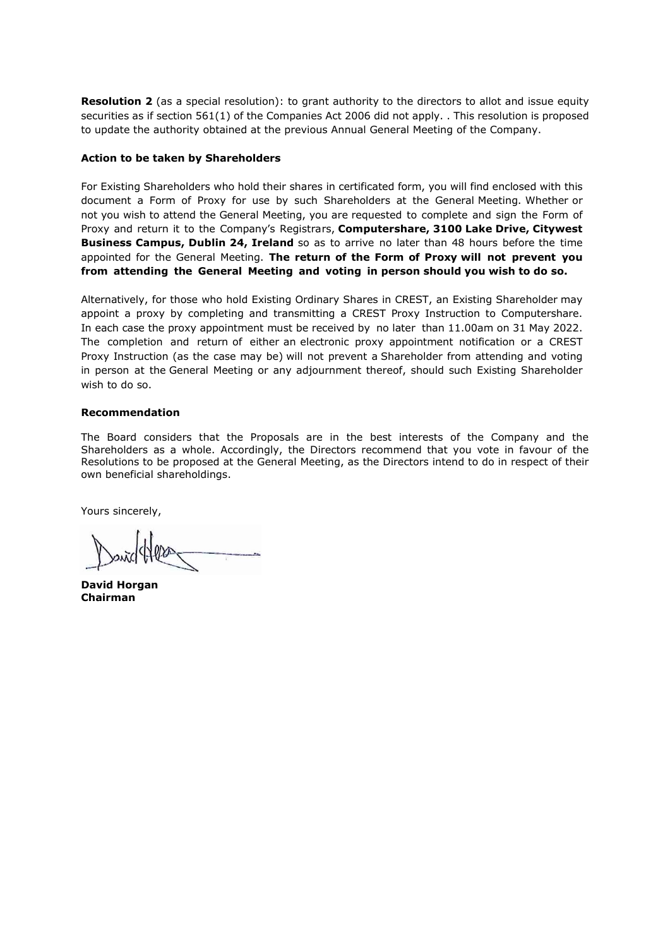**Resolution 2** (as a special resolution): to grant authority to the directors to allot and issue equity securities as if section 561(1) of the Companies Act 2006 did not apply. . This resolution is proposed to update the authority obtained at the previous Annual General Meeting of the Company.

#### **Action to be taken by Shareholders**

For Existing Shareholders who hold their shares in certificated form, you will find enclosed with this document a Form of Proxy for use by such Shareholders at the General Meeting. Whether or not you wish to attend the General Meeting, you are requested to complete and sign the Form of Proxy and return it to the Company's Registrars, **Computershare, 3100 Lake Drive, Citywest Business Campus, Dublin 24, Ireland** so as to arrive no later than 48 hours before the time appointed for the General Meeting. **The return of the Form of Proxy will not prevent you from attending the General Meeting and voting in person should you wish to do so.** 

Alternatively, for those who hold Existing Ordinary Shares in CREST, an Existing Shareholder may appoint a proxy by completing and transmitting a CREST Proxy Instruction to Computershare. In each case the proxy appointment must be received by no later than 11.00am on 31 May 2022. The completion and return of either an electronic proxy appointment notification or a CREST Proxy Instruction (as the case may be) will not prevent a Shareholder from attending and voting in person at the General Meeting or any adjournment thereof, should such Existing Shareholder wish to do so.

#### **Recommendation**

The Board considers that the Proposals are in the best interests of the Company and the Shareholders as a whole. Accordingly, the Directors recommend that you vote in favour of the Resolutions to be proposed at the General Meeting, as the Directors intend to do in respect of their own beneficial shareholdings.

Yours sincerely,

**David Horgan Chairman**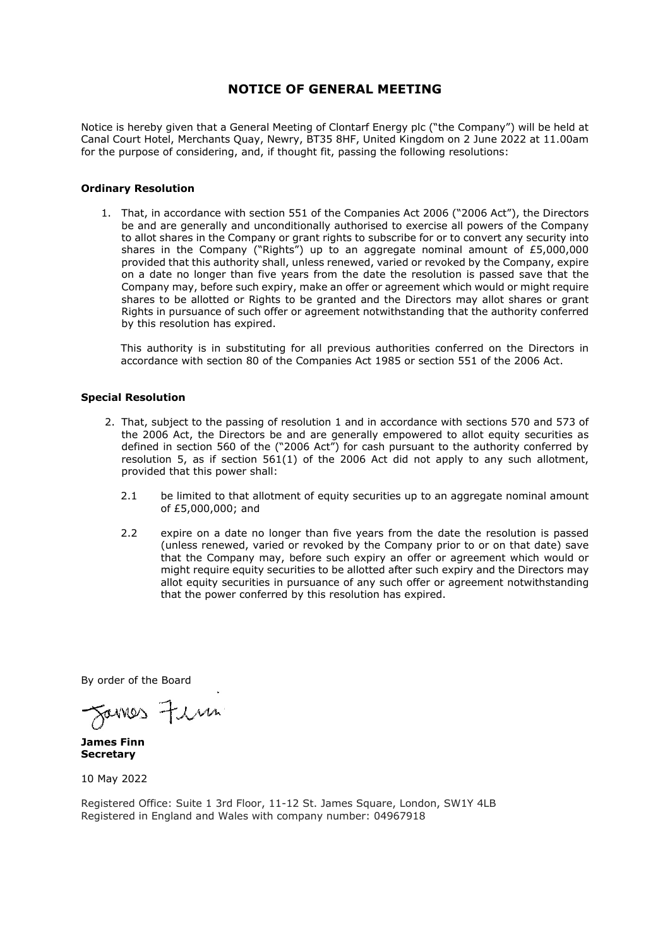### **NOTICE OF GENERAL MEETING**

Notice is hereby given that a General Meeting of Clontarf Energy plc ("the Company") will be held at Canal Court Hotel, Merchants Quay, Newry, BT35 8HF, United Kingdom on 2 June 2022 at 11.00am for the purpose of considering, and, if thought fit, passing the following resolutions:

#### **Ordinary Resolution**

1. That, in accordance with section 551 of the Companies Act 2006 ("2006 Act"), the Directors be and are generally and unconditionally authorised to exercise all powers of the Company to allot shares in the Company or grant rights to subscribe for or to convert any security into shares in the Company ("Rights") up to an aggregate nominal amount of  $E$ 5,000,000 provided that this authority shall, unless renewed, varied or revoked by the Company, expire on a date no longer than five years from the date the resolution is passed save that the Company may, before such expiry, make an offer or agreement which would or might require shares to be allotted or Rights to be granted and the Directors may allot shares or grant Rights in pursuance of such offer or agreement notwithstanding that the authority conferred by this resolution has expired.

This authority is in substituting for all previous authorities conferred on the Directors in accordance with section 80 of the Companies Act 1985 or section 551 of the 2006 Act.

#### **Special Resolution**

- 2. That, subject to the passing of resolution 1 and in accordance with sections 570 and 573 of the 2006 Act, the Directors be and are generally empowered to allot equity securities as defined in section 560 of the ("2006 Act") for cash pursuant to the authority conferred by resolution 5, as if section 561(1) of the 2006 Act did not apply to any such allotment, provided that this power shall:
	- 2.1 be limited to that allotment of equity securities up to an aggregate nominal amount of £5,000,000; and
	- 2.2 expire on a date no longer than five years from the date the resolution is passed (unless renewed, varied or revoked by the Company prior to or on that date) save that the Company may, before such expiry an offer or agreement which would or might require equity securities to be allotted after such expiry and the Directors may allot equity securities in pursuance of any such offer or agreement notwithstanding that the power conferred by this resolution has expired.

By order of the Board

Sarres Firm

**James Finn Secretary** 

10 May 2022

Registered Office: Suite 1 3rd Floor, 11-12 St. James Square, London, SW1Y 4LB Registered in England and Wales with company number: 04967918